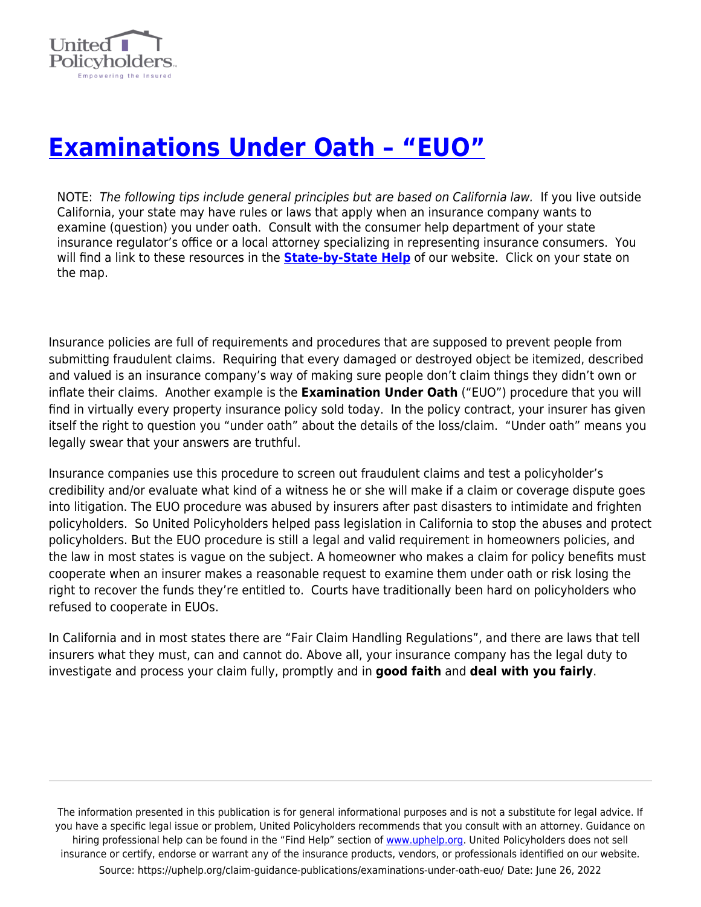

## **[Examinations Under Oath – "EUO"](https://uphelp.org/claim-guidance-publications/examinations-under-oath-euo/)**

NOTE: The following tips include general principles but are based on California law. If you live outside California, your state may have rules or laws that apply when an insurance company wants to examine (question) you under oath. Consult with the consumer help department of your state insurance regulator's office or a local attorney specializing in representing insurance consumers. You will find a link to these resources in the **[State-by-State Help](https://uphelp.org/recovery/state-by-state-help/)** of our website. Click on your state on the map.

Insurance policies are full of requirements and procedures that are supposed to prevent people from submitting fraudulent claims. Requiring that every damaged or destroyed object be itemized, described and valued is an insurance company's way of making sure people don't claim things they didn't own or inflate their claims. Another example is the **Examination Under Oath** ("EUO") procedure that you will find in virtually every property insurance policy sold today. In the policy contract, your insurer has given itself the right to question you "under oath" about the details of the loss/claim. "Under oath" means you legally swear that your answers are truthful.

Insurance companies use this procedure to screen out fraudulent claims and test a policyholder's credibility and/or evaluate what kind of a witness he or she will make if a claim or coverage dispute goes into litigation. The EUO procedure was abused by insurers after past disasters to intimidate and frighten policyholders. So United Policyholders helped pass legislation in California to stop the abuses and protect policyholders. But the EUO procedure is still a legal and valid requirement in homeowners policies, and the law in most states is vague on the subject. A homeowner who makes a claim for policy benefits must cooperate when an insurer makes a reasonable request to examine them under oath or risk losing the right to recover the funds they're entitled to. Courts have traditionally been hard on policyholders who refused to cooperate in EUOs.

In California and in most states there are "Fair Claim Handling Regulations", and there are laws that tell insurers what they must, can and cannot do. Above all, your insurance company has the legal duty to investigate and process your claim fully, promptly and in **good faith** and **deal with you fairly**.

The information presented in this publication is for general informational purposes and is not a substitute for legal advice. If you have a specific legal issue or problem, United Policyholders recommends that you consult with an attorney. Guidance on hiring professional help can be found in the "Find Help" section of [www.uphelp.org.](http://www.uphelp.org/) United Policyholders does not sell insurance or certify, endorse or warrant any of the insurance products, vendors, or professionals identified on our website. Source: https://uphelp.org/claim-guidance-publications/examinations-under-oath-euo/ Date: June 26, 2022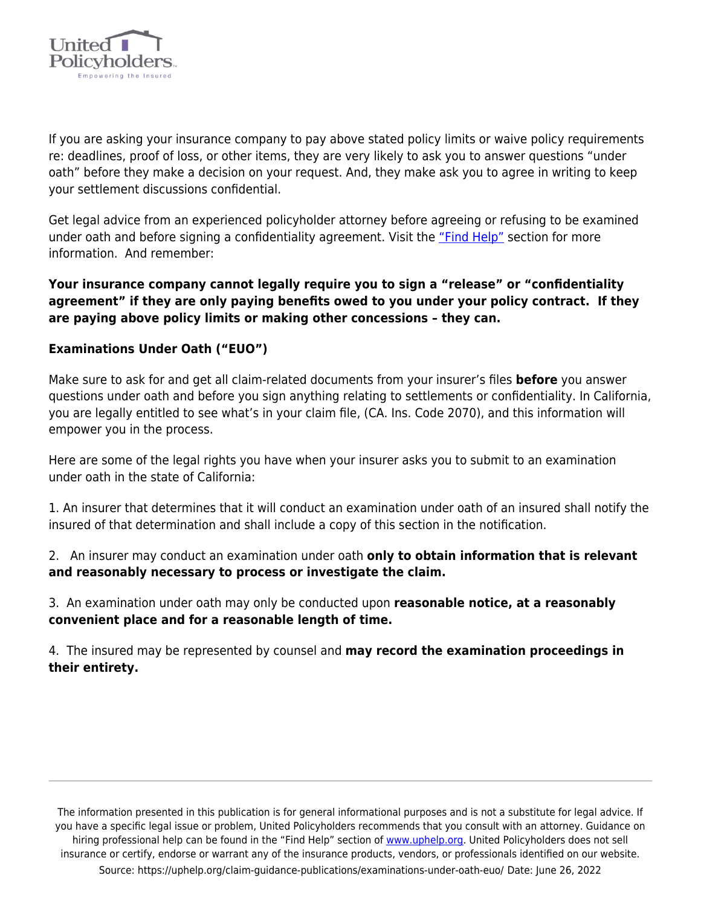

If you are asking your insurance company to pay above stated policy limits or waive policy requirements re: deadlines, proof of loss, or other items, they are very likely to ask you to answer questions "under oath" before they make a decision on your request. And, they make ask you to agree in writing to keep your settlement discussions confidential.

Get legal advice from an experienced policyholder attorney before agreeing or refusing to be examined under oath and before signing a confidentiality agreement. Visit the ["Find Help"](https://uphelp.org/sponsors/) section for more information. And remember:

**Your insurance company cannot legally require you to sign a "release" or "confidentiality agreement" if they are only paying benefits owed to you under your policy contract. If they are paying above policy limits or making other concessions – they can.**

## **Examinations Under Oath ("EUO")**

Make sure to ask for and get all claim-related documents from your insurer's files **before** you answer questions under oath and before you sign anything relating to settlements or confidentiality. In California, you are legally entitled to see what's in your claim file, (CA. Ins. Code 2070), and this information will empower you in the process.

Here are some of the legal rights you have when your insurer asks you to submit to an examination under oath in the state of California:

1. An insurer that determines that it will conduct an examination under oath of an insured shall notify the insured of that determination and shall include a copy of this section in the notification.

2. An insurer may conduct an examination under oath **only to obtain information that is relevant and reasonably necessary to process or investigate the claim.**

3. An examination under oath may only be conducted upon **reasonable notice, at a reasonably convenient place and for a reasonable length of time.**

4. The insured may be represented by counsel and **may record the examination proceedings in their entirety.**

The information presented in this publication is for general informational purposes and is not a substitute for legal advice. If you have a specific legal issue or problem, United Policyholders recommends that you consult with an attorney. Guidance on hiring professional help can be found in the "Find Help" section of [www.uphelp.org.](http://www.uphelp.org/) United Policyholders does not sell insurance or certify, endorse or warrant any of the insurance products, vendors, or professionals identified on our website. Source: https://uphelp.org/claim-guidance-publications/examinations-under-oath-euo/ Date: June 26, 2022